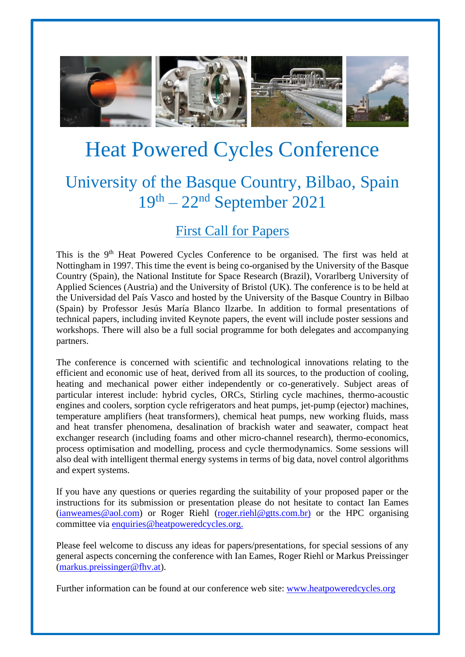

# Heat Powered Cycles Conference

## University of the Basque Country, Bilbao, Spain 19th – 22 nd September 2021

### First Call for Papers

This is the 9<sup>th</sup> Heat Powered Cycles Conference to be organised. The first was held at Nottingham in 1997. This time the event is being co-organised by the University of the Basque Country (Spain), the National Institute for Space Research (Brazil), Vorarlberg University of Applied Sciences (Austria) and the University of Bristol (UK). The conference is to be held at the Universidad del País Vasco and hosted by the University of the Basque Country in Bilbao (Spain) by Professor Jesús María Blanco Ilzarbe. In addition to formal presentations of technical papers, including invited Keynote papers, the event will include poster sessions and workshops. There will also be a full social programme for both delegates and accompanying partners.

The conference is concerned with scientific and technological innovations relating to the efficient and economic use of heat, derived from all its sources, to the production of cooling, heating and mechanical power either independently or co-generatively. Subject areas of particular interest include: hybrid cycles, ORCs, Stirling cycle machines, thermo-acoustic engines and coolers, sorption cycle refrigerators and heat pumps, jet-pump (ejector) machines, temperature amplifiers (heat transformers), chemical heat pumps, new working fluids, mass and heat transfer phenomena, desalination of brackish water and seawater, compact heat exchanger research (including foams and other micro-channel research), thermo-economics, process optimisation and modelling, process and cycle thermodynamics. Some sessions will also deal with intelligent thermal energy systems in terms of big data, novel control algorithms and expert systems.

If you have any questions or queries regarding the suitability of your proposed paper or the instructions for its submission or presentation please do not hesitate to contact Ian Eames [\(ianweames@aol.com\)](mailto:ianweames@aol.com) or Roger Riehl [\(roger.riehl@gtts.com.br\)](mailto:roger.riehl@gtts.com.br) or the HPC organising committee via [enquiries@heatpoweredcycles.org.](mailto:enquiries@heatpoweredcycles.org)

Please feel welcome to discuss any ideas for papers/presentations, for special sessions of any general aspects concerning the conference with Ian Eames, Roger Riehl or Markus Preissinger [\(markus.preissinger@fhv.at\)](mailto:markus.preissinger@fhv.at).

Further information can be found at our conference web site: [www.heatpoweredcycles.org](http://www.heatpoweredcycles.org/)